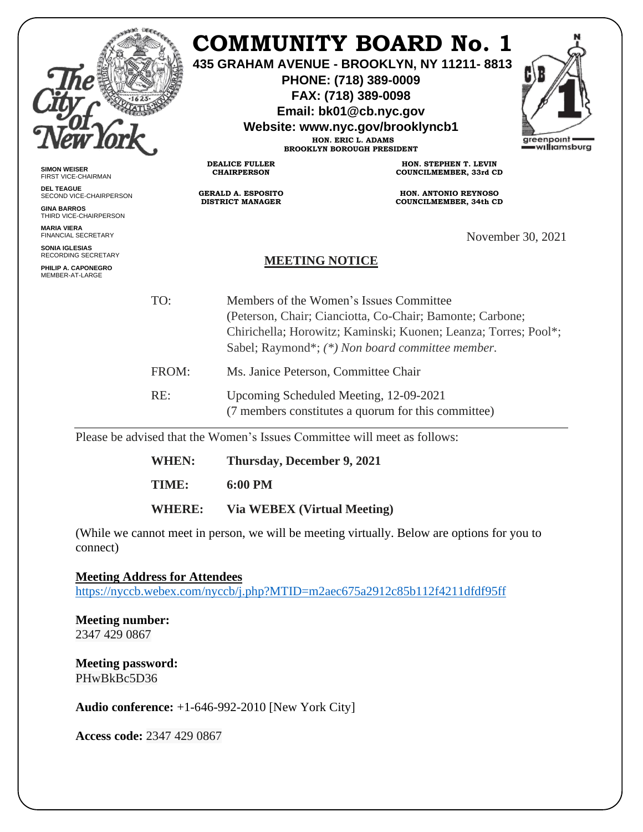|                                                     |       | COMMUNITY BOARD No. 1<br>435 GRAHAM AVENUE - BROOKLYN, NY 11211-8813<br>PHONE: (718) 389-0009<br>FAX: (718) 389-0098<br>Email: bk01@cb.nyc.gov<br>Website: www.nyc.gov/brooklyncb1<br>greenpoint<br>HON. ERIC L. ADAMS<br><b>BROOKLYN BOROUGH PRESIDENT</b> |                                                                                               | — williamsburg    |  |
|-----------------------------------------------------|-------|-------------------------------------------------------------------------------------------------------------------------------------------------------------------------------------------------------------------------------------------------------------|-----------------------------------------------------------------------------------------------|-------------------|--|
| <b>SIMON WEISER</b><br>FIRST VICE-CHAIRMAN          |       | <b>DEALICE FULLER</b><br><b>CHAIRPERSON</b>                                                                                                                                                                                                                 | HON. STEPHEN T. LEVIN<br>COUNCILMEMBER, 33rd CD                                               |                   |  |
| <b>DEL TEAGUE</b><br>SECOND VICE-CHAIRPERSON        |       | <b>GERALD A. ESPOSITO</b>                                                                                                                                                                                                                                   | <b>HON. ANTONIO REYNOSO</b>                                                                   |                   |  |
| <b>GINA BARROS</b><br>THIRD VICE-CHAIRPERSON        |       | <b>DISTRICT MANAGER</b>                                                                                                                                                                                                                                     | COUNCILMEMBER, 34th CD                                                                        |                   |  |
| <b>MARIA VIERA</b><br><b>FINANCIAL SECRETARY</b>    |       |                                                                                                                                                                                                                                                             |                                                                                               | November 30, 2021 |  |
| <b>SONIA IGLESIAS</b><br><b>RECORDING SECRETARY</b> |       | <b>MEETING NOTICE</b>                                                                                                                                                                                                                                       |                                                                                               |                   |  |
| PHILIP A. CAPONEGRO<br>MEMBER-AT-LARGE              |       |                                                                                                                                                                                                                                                             |                                                                                               |                   |  |
|                                                     | TO:   | Members of the Women's Issues Committee<br>(Peterson, Chair; Cianciotta, Co-Chair; Bamonte; Carbone;<br>Chirichella; Horowitz; Kaminski; Kuonen; Leanza; Torres; Pool*;<br>Sabel; Raymond*; (*) Non board committee member.                                 |                                                                                               |                   |  |
|                                                     | FROM: | Ms. Janice Peterson, Committee Chair                                                                                                                                                                                                                        |                                                                                               |                   |  |
|                                                     | RE:   |                                                                                                                                                                                                                                                             | Upcoming Scheduled Meeting, 12-09-2021<br>(7 members constitutes a quorum for this committee) |                   |  |

Please be advised that the Women's Issues Committee will meet as follows:

**WHEN: Thursday, December 9, 2021**

**TIME: 6:00 PM**

**WHERE: Via WEBEX (Virtual Meeting)** 

(While we cannot meet in person, we will be meeting virtually. Below are options for you to connect)

**Meeting Address for Attendees**  <https://nyccb.webex.com/nyccb/j.php?MTID=m2aec675a2912c85b112f4211dfdf95ff>

**Meeting number:** 2347 429 0867

**Meeting password:** PHwBkBc5D36

**Audio conference:** +1-646-992-2010 [New York City]

**Access code:** 2347 429 0867